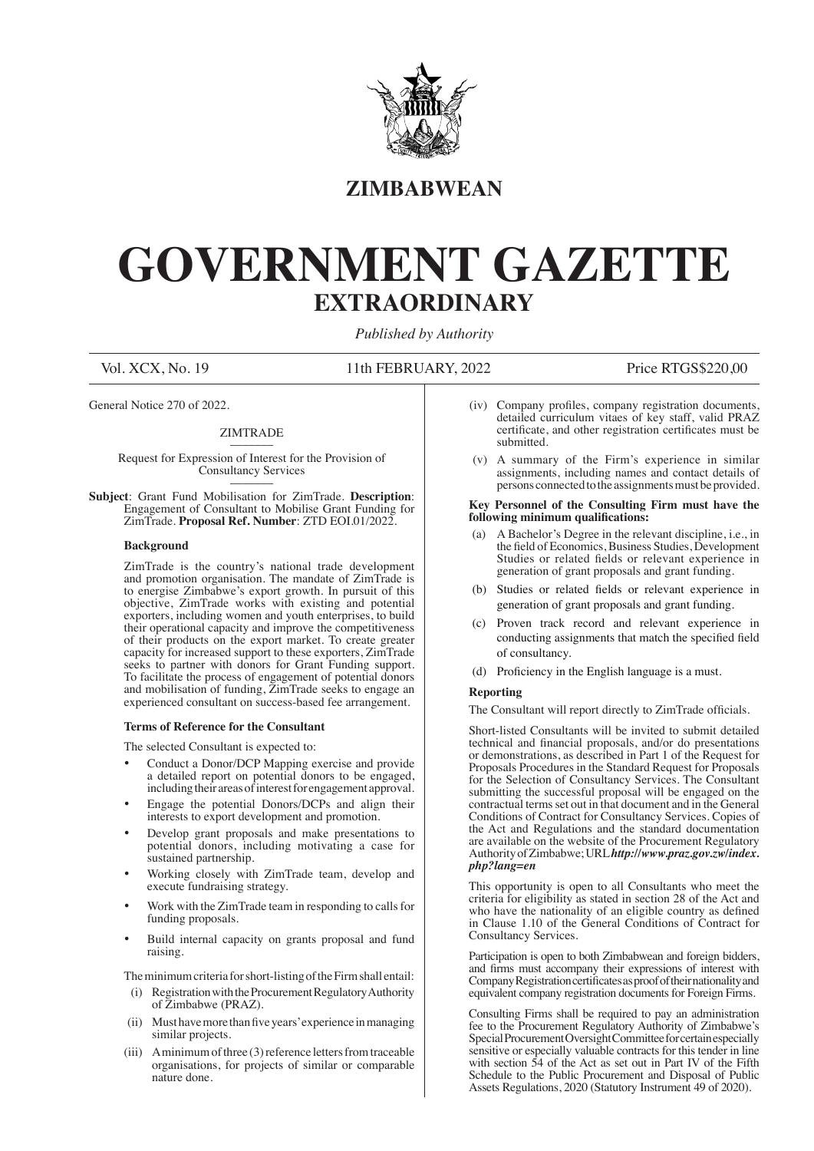

### **ZIMBABWEAN**

# **GOVERNMENT GAZETTE EXTRAORDINARY**

*Published by Authority*

Vol. XCX, No. 19 11th FEBRUARY, 2022 Price RTGS\$220,00

General Notice 270 of 2022.

#### ZIMTR ADE

Request for Expression of Interest for the Provision of Consultancy Services \_\_\_\_\_\_\_

**Subject**: Grant Fund Mobilisation for ZimTrade. **Description**: Engagement of Consultant to Mobilise Grant Funding for ZimTrade. **Proposal Ref. Number**: ZTD EOI.01/2022.

#### **Background**

ZimTrade is the country's national trade development and promotion organisation. The mandate of ZimTrade is to energise Zimbabwe's export growth. In pursuit of this objective, ZimTrade works with existing and potential exporters, including women and youth enterprises, to build their operational capacity and improve the competitiveness of their products on the export market. To create greater capacity for increased support to these exporters, ZimTrade seeks to partner with donors for Grant Funding support. To facilitate the process of engagement of potential donors and mobilisation of funding, ZimTrade seeks to engage an experienced consultant on success-based fee arrangement.

#### **Terms of Reference for the Consultant**

The selected Consultant is expected to:

- Conduct a Donor/DCP Mapping exercise and provide a detailed report on potential donors to be engaged, including their areas of interest for engagement approval.
- Engage the potential Donors/DCPs and align their interests to export development and promotion.
- Develop grant proposals and make presentations to potential donors, including motivating a case for sustained partnership.
- Working closely with ZimTrade team, develop and execute fundraising strategy.
- Work with the ZimTrade team in responding to calls for funding proposals.
- Build internal capacity on grants proposal and fund raising.

The minimum criteria for short-listing of the Firm shall entail:

- (i) Registration with the Procurement Regulatory Authority of Zimbabwe (PRAZ).
- (ii) Must have more than five years' experience in managing similar projects.
- (iii) A minimum of three (3) reference letters from traceable organisations, for projects of similar or comparable nature done.
- (iv) Company profiles, company registration documents, detailed curriculum vitaes of key staff, valid PRAZ certificate, and other registration certificates must be submitted.
- (v) A summary of the Firm's experience in similar assignments, including names and contact details of persons connected to the assignments must be provided.

#### **Key Personnel of the Consulting Firm must have the following minimum qualifications:**

- (a) A Bachelor's Degree in the relevant discipline, i.e., in the field of Economics, Business Studies, Development Studies or related fields or relevant experience in generation of grant proposals and grant funding.
- (b) Studies or related fields or relevant experience in generation of grant proposals and grant funding.
- (c) Proven track record and relevant experience in conducting assignments that match the specified field of consultancy.
- (d) Proficiency in the English language is a must.

#### **Reporting**

 The Consultant will report directly to ZimTrade officials.

Short-listed Consultants will be invited to submit detailed technical and financial proposals, and/or do presentations or demonstrations, as described in Part 1 of the Request for Proposals Procedures in the Standard Request for Proposals for the Selection of Consultancy Services. The Consultant submitting the successful proposal will be engaged on the contractual terms set out in that document and in the General Conditions of Contract for Consultancy Services. Copies of the Act and Regulations and the standard documentation are available on the website of the Procurement Regulatory Authority of Zimbabwe; URL *http://www.praz.gov.zw/index. php?lang=en*

This opportunity is open to all Consultants who meet the criteria for eligibility as stated in section 28 of the Act and who have the nationality of an eligible country as defined in Clause 1.10 of the General Conditions of Contract for Consultancy Services.

Participation is open to both Zimbabwean and foreign bidders, and firms must accompany their expressions of interest with Company Registration certificates as proof of their nationality and equivalent company registration documents for Foreign Firms.

Consulting Firms shall be required to pay an administration fee to the Procurement Regulatory Authority of Zimbabwe's Special Procurement Oversight Committee for certain especially sensitive or especially valuable contracts for this tender in line with section 54 of the Act as set out in Part IV of the Fifth Schedule to the Public Procurement and Disposal of Public Assets Regulations, 2020 (Statutory Instrument 49 of 2020).